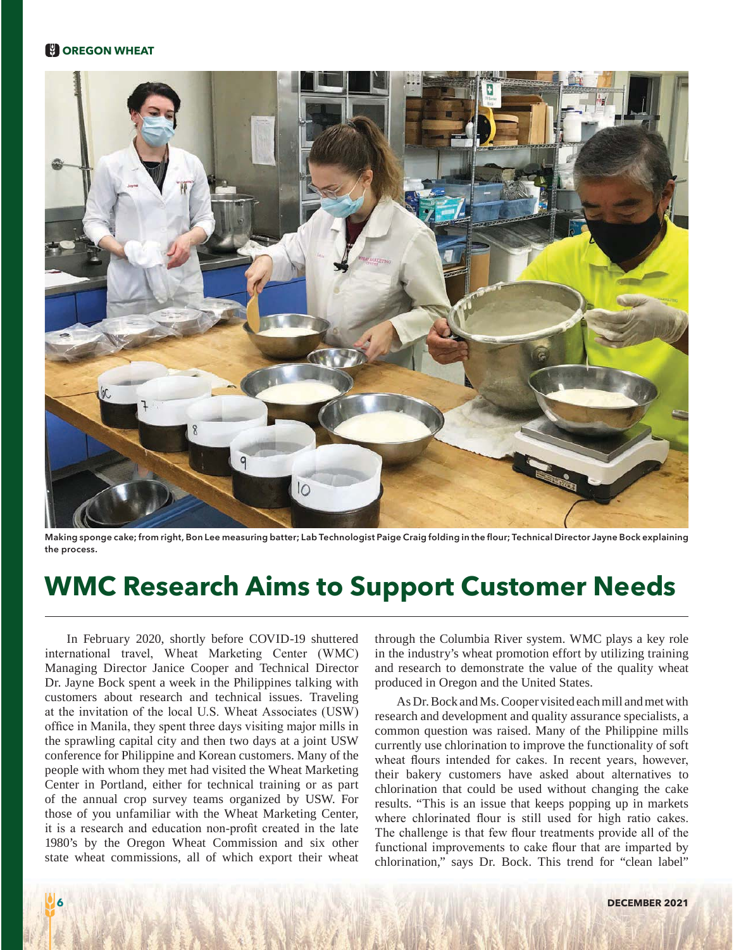## **COREGON WHEAT**



Making sponge cake; from right, Bon Lee measuring batter; Lab Technologist Paige Craig folding in the flour; Technical Director Jayne Bock explaining **the process.**

# **WMC Research Aims to Support Customer Needs**

In February 2020, shortly before COVID-19 shuttered international travel, Wheat Marketing Center (WMC) Managing Director Janice Cooper and Technical Director Dr. Jayne Bock spent a week in the Philippines talking with customers about research and technical issues. Traveling at the invitation of the local U.S. Wheat Associates (USW) office in Manila, they spent three days visiting major mills in the sprawling capital city and then two days at a joint USW conference for Philippine and Korean customers. Many of the people with whom they met had visited the Wheat Marketing Center in Portland, either for technical training or as part of the annual crop survey teams organized by USW. For those of you unfamiliar with the Wheat Marketing Center, it is a research and education non-profit created in the late 1980's by the Oregon Wheat Commission and six other state wheat commissions, all of which export their wheat through the Columbia River system. WMC plays a key role in the industry's wheat promotion effort by utilizing training and research to demonstrate the value of the quality wheat produced in Oregon and the United States.

As Dr. Bock and Ms. Cooper visited each mill and met with research and development and quality assurance specialists, a common question was raised. Many of the Philippine mills currently use chlorination to improve the functionality of soft wheat flours intended for cakes. In recent years, however, their bakery customers have asked about alternatives to chlorination that could be used without changing the cake results. "This is an issue that keeps popping up in markets where chlorinated flour is still used for high ratio cakes. The challenge is that few flour treatments provide all of the functional improvements to cake flour that are imparted by chlorination," says Dr. Bock. This trend for "clean label"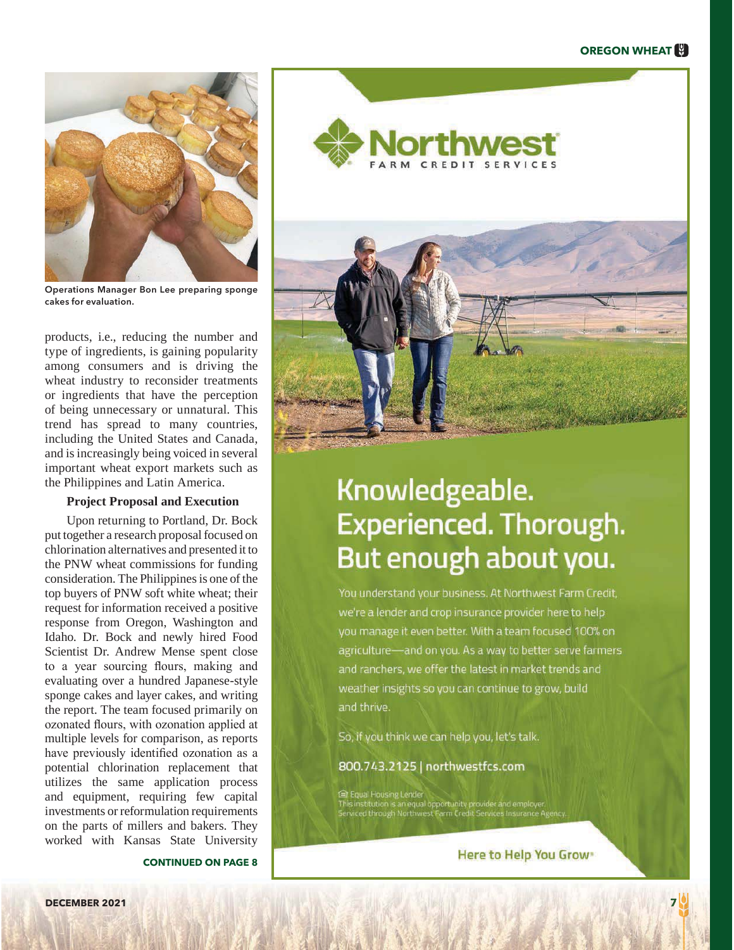## **OREGON WHEAT**



**Operations Manager Bon Lee preparing sponge cakes for evaluation.**

products, i.e., reducing the number and type of ingredients, is gaining popularity among consumers and is driving the wheat industry to reconsider treatments or ingredients that have the perception of being unnecessary or unnatural. This trend has spread to many countries, including the United States and Canada, and is increasingly being voiced in several important wheat export markets such as the Philippines and Latin America.

### **Project Proposal and Execution**

Upon returning to Portland, Dr. Bock put together a research proposal focused on chlorination alternatives and presented it to the PNW wheat commissions for funding consideration. The Philippines is one of the top buyers of PNW soft white wheat; their request for information received a positive response from Oregon, Washington and Idaho. Dr. Bock and newly hired Food Scientist Dr. Andrew Mense spent close to a year sourcing flours, making and evaluating over a hundred Japanese-style sponge cakes and layer cakes, and writing the report. The team focused primarily on ozonated flours, with ozonation applied at multiple levels for comparison, as reports have previously identified ozonation as a potential chlorination replacement that utilizes the same application process and equipment, requiring few capital investments or reformulation requirements on the parts of millers and bakers. They worked with Kansas State University

**CONTINUED ON PAGE 8**





# Knowledgeable. Experienced. Thorough. But enough about you.

You understand your business. At Northwest Farm Credit, we're a lender and crop insurance provider here to help you manage it even better. With a team focused 100% on agriculture-and on you. As a way to better serve farmers and ranchers, we offer the latest in market trends and weather insights so you can continue to grow, build and thrive.

So, if you think we can help you, let's talk.

800.743.2125 | northwestfcs.com

**≅r Equal Housing Lender** is institution is an equal opportunity provider and empli<br>rwced through Northwest Farm Credit Services Insuran

Here to Help You Grow-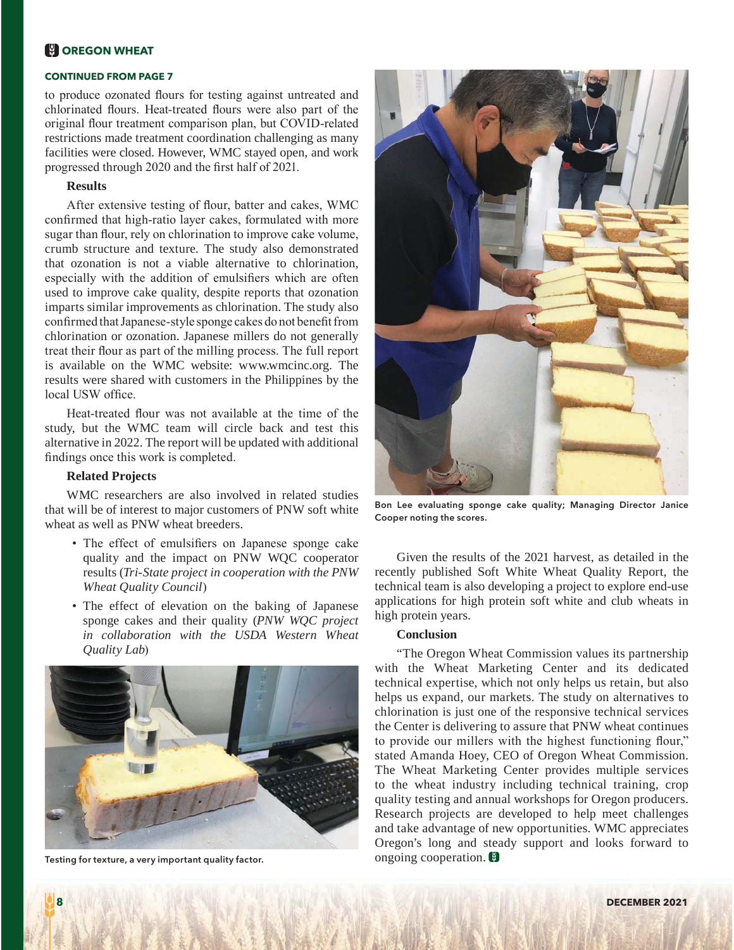## **N** OREGON WHEAT

#### **CONTINUED FROM PAGE 7**

to produce ozonated flours for testing against untreated and chlorinated flours. Heat-treated flours were also part of the original flour treatment comparison plan, but COVID-related restrictions made treatment coordination challenging as many facilities were closed. However, WMC stayed open, and work progressed through 2020 and the first half of 2021.

#### **Results**

After extensive testing of flour, batter and cakes, WMC confirmed that high-ratio layer cakes, formulated with more sugar than flour, rely on chlorination to improve cake volume, crumb structure and texture. The study also demonstrated that ozonation is not a viable alternative to chlorination, especially with the addition of emulsifiers which are often used to improve cake quality, despite reports that ozonation imparts similar improvements as chlorination. The study also confirmed that Japanese-style sponge cakes do not benefit from chlorination or ozonation. Japanese millers do not generally treat their flour as part of the milling process. The full report is available on the WMC website: www.wmcinc.org. The results were shared with customers in the Philippines by the local USW office

Heat-treated flour was not available at the time of the study, but the WMC team will circle back and test this alternative in 2022. The report will be updated with additional findings once this work is completed.

#### **Related Projects**

WMC researchers are also involved in related studies that will be of interest to major customers of PNW soft white wheat as well as PNW wheat breeders.

- The effect of emulsifiers on Japanese sponge cake quality and the impact on PNW WQC cooperator results (Tri-State project in cooperation with the PNW **Wheat Quality Council)**
- The effect of elevation on the baking of Japanese sponge cakes and their quality (PNW WOC project in collaboration with the USDA Western Wheat Quality Lab)



Testing for texture, a very important quality factor.



Bon Lee evaluating sponge cake quality; Managing Director Janice Cooper noting the scores.

Given the results of the 2021 harvest, as detailed in the recently published Soft White Wheat Quality Report, the technical team is also developing a project to explore end-use applications for high protein soft white and club wheats in high protein years.

#### **Conclusion**

"The Oregon Wheat Commission values its partnership with the Wheat Marketing Center and its dedicated technical expertise, which not only helps us retain, but also helps us expand, our markets. The study on alternatives to chlorination is just one of the responsive technical services the Center is delivering to assure that PNW wheat continues to provide our millers with the highest functioning flour," stated Amanda Hoey, CEO of Oregon Wheat Commission. The Wheat Marketing Center provides multiple services to the wheat industry including technical training, crop quality testing and annual workshops for Oregon producers. Research projects are developed to help meet challenges and take advantage of new opportunities. WMC appreciates Oregon's long and steady support and looks forward to ongoing cooperation.  $\blacksquare$